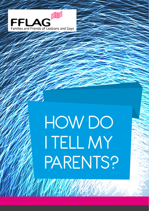

## **HOW DO** I tell my PARENTS?

MARTIN NA MA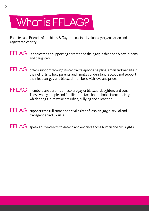### What is FFLAG?

Families and Friends of Lesbians & Gays is a national voluntary organisation and registered charity

 $\mathsf{FFLAG}\;$  is dedicated to supporting parents and their gay, lesbian and bisexual sons and daughters.

FFLAG offers support through its central telephone helpline, email and website in their efforts to help parents and families understand, accept and support their lesbian, gay and bisexual members with love and pride.

FFLAG members are parents of lesbian, gay or bisexual daughters and sons. These young people and families still face homophobia in our society, which brings in its wake prejudice, bullying and alienation.

 $\mathsf{FFLAG}\;$  supports the full human and civil rights of lesbian ,gay, bisexual and transgender individuals.

 $\mathsf{FFLAG}\;$  speaks out and acts to defend and enhance those human and civil rights.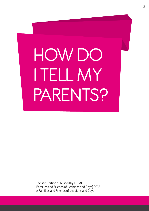# HOW DO I tell my PARENTS?

Revised Edition published by FFLAG (Families and Friends of Lesbians and Gays) 2012 © Families and Friends of Lesbians and Gays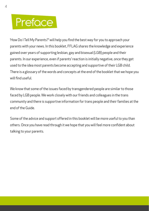#### **Preface**

'How Do I Tell My Parents?' will help you find the best way for you to approach your parents with your news. In this booklet, FFLAG shares the knowledge and experience gained over years of supporting lesbian, gay and bisexual (LGB) people and their parents. In our experience, even if parents' reaction is initially negative, once they get used to the idea most parents become accepting and supportive of their LGB child. There is a glossary of the words and concepts at the end of the booklet that we hope you will find useful.

We know that some of the issues faced by transgendered people are similar to those faced by LGB people. We work closely with our friends and colleagues in the trans community and there is supportive information for trans people and their families at the end of the Guide.

Some of the advice and support offered in this booklet will be more useful to you than others. Once you have read through it we hope that you will feel more confident about talking to your parents.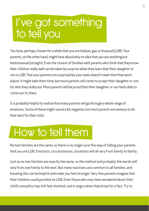#### I've got something to tell you

You have, perhaps, known for a while that you are lesbian, gay or bisexual (LGB). Your parents, on the other hand, might have absolutely no idea that you are anything but heterosexual (straight). Even the closest of families with parents who think that they know their children really well can be taken by surprise when they learn that their daughter or son is LGB. That your parents are surprised by your news doesn't mean that they won't adjust. It might take them time, but most parents will come to accept their daughter or son for who they really are. Most parents will be proud that their daughter or son feels able to 'come out' to them.

It is probably helpful to realise that many parents will go through a whole range of emotions. Some of these might sound a bit negative, but most parents are anxious to do their best for their child.

#### How to tell them

No two families are the same, so there is no single sure-fire way of telling your parents that you are LGB. Emotions, circumstances, situations will all vary from family to family.

Just as no two families are exactly the same, so the method and probably the words will vary from one family to the next. But many reactions are common to all families, and knowing this can be helpful and make you feel stronger. Very few parents imagine that their children could possibly be LGB. Even those who may have wondered about their child's sexuality may still feel shocked, sad or angry when they know for a fact. Try to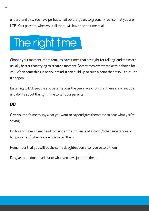understand this. You have perhaps, had several years to gradually realise that you are LGB. Your parents, when you tell them, will have had no time at all.

### The right time I

Choose your moment. Most families have times that are right for talking, and these are usually better than trying to create a moment. Sometimes events make this choice for you. When something is on your mind, it can build up to such a point that it spills out. Let it happen.

Listening to LGB people and parents over the years, we know that there are a few do's and don'ts about the right time to tell your parents.

#### *DO*

Give yourself time to say what you want to say and give them time to hear what you're saying.

Do try and have a clear head (not under the influence of alcohol/other substances or hung-over etc) when you decide to tell them.

Remember that you will be the same daughter/son after you've told them.

Do give them time to adjust to what you have just told them.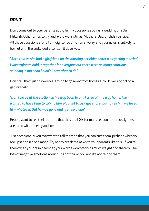#### *DON'T*

Don't come out to your parents at big family occasions such as a wedding or a Bar Mitzvah. Other times to try and avoid – Christmas; Mothers' Day; birthday parties. All these occasions are full of heightened emotion anyway, and your news is unlikely to be met with the undivided attention it deserves.

*"Sara told us she had a girlfriend on the morning her elder sister was getting married. I was trying to hold it together for everyone but there were so many emotions spinning in my head I didn't know what to do"*

Don't tell them just as you are leaving to go away from home i.e. to University, off on a gap year etc.

*"Dan told us at the station on his way back to uni. I cried all the way home. I so wanted to have time to talk to him. Not just to ask questions, but to tell him we loved him whatever. But he was gone and I felt so alone."*

People want to tell their parents that they are LGB for many reasons, but mostly these are to do with honesty and love.

Just occasionally you may want to tell them so that you can hurt them, perhaps when you are upset or in a bad mood. Try not to break the news to your parents like this. If you tell them when you are in a temper, your words won't carry as much weight and there will be lots of negative emotions around. It's not fair on you and it's not fair on them.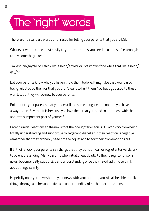#### The 'right' words

There are no standard words or phrases for telling your parents that you are LGB.

Whatever words come most easily to you are the ones you need to use. It's often enough to say something like;

'I'm lesbian/gay/bi' or 'I think I'm lesbian/gay/bi' or 'I've known for a while that I'm lesbian/ gay/bi'

Let your parents know why you haven't told them before. It might be that you feared being rejected by them or that you didn't want to hurt them. You have got used to these worries, but they will be new to your parents.

Point out to your parents that you are still the same daughter or son that you have always been. Say that it is because you love them that you need to be honest with them about this important part of yourself.

Parent's initial reactions to the news that their daughter or son is LGB can vary from being totally understanding and supportive to anger and disbelief. If their reaction is negative, remember that they probably need time to adjust and to sort their own emotions out.

If in their shock, your parents say things that they do not mean or regret afterwards, try to be understanding. Many parents who initially react badly to their daughter or son's news, become really supportive and understanding once they have had time to think about things calmly.

Hopefully once you have shared your news with your parents, you will all be able to talk things through and be supportive and understanding of each others emotions.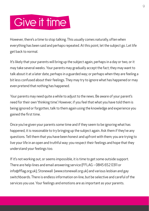#### Give it time

However, there's a time to stop talking. This usually comes naturally, often when everything has been said and perhaps repeated. At this point, let the subject go. Let life get back to normal.

It's likely that your parents will bring up the subject again, perhaps in a day or two, or it may take several weeks. Your parents may gradually accept the fact; they may want to talk about it at a later date, perhaps in a guarded way; or perhaps when they are feeling a bit less confused about their feelings. They may try to ignore what has happened or may even pretend that nothing has happened.

Your parents may need quite a while to adjust to the news. Be aware of your parent's need for their own 'thinking time'. However, if you feel that what you have told them is being ignored or forgotten, talk to them again using the knowledge and experience you gained the first time.

Once you've given your parents some time and if they seem to be ignoring what has happened, it is reasonable to try bringing up the subject again. Ask them if they've any questions. Tell them that you have been honest and upfront with them; you are trying to live your life in an open and truthful way; you respect their feelings and hope that they understand your feelings too.

If it's not working out, or seems impossible, it is time to get some outside support. There are help-lines and email answering service (FFLAG – 0845 652 0311 or info@fflag.org.uk); Stonewall (www.stonewall.org.uk) and various lesbian and gay switchboards. There is endless information on-line, but be selective and careful of the services you use. Your feelings and emotions are as important as your parents.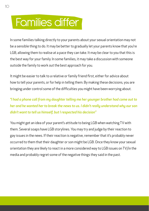#### Families differ

In some families talking directly to your parents about your sexual orientation may not be a sensible thing to do. It may be better to gradually let your parents know that you're LGB, allowing them to realise at a pace they can take. It may be clear to you that this is the best way for your family. In some families, it may take a discussion with someone outside the family to work out the best approach for you.

It might be easier to talk to a relative or family friend first, either for advice about how to tell your parents, or for help in telling them. By making these decisions, you are bringing under control some of the difficulties you might have been worrying about.

*"I had a phone call from my daughter telling me her younger brother had come out to her and he wanted her to break the news to us. I didn't really understand why our son didn't want to tell us himself, but I respected his decision"*

You might get an idea of your parent's attitude to being LGB when watching TV with them. Several soaps have LGB storylines. You may try and judge by their reaction to gay issues in the news. If their reaction is negative, remember that it's probably never occurred to them that their daughter or son might be LGB. Once they know your sexual orientation they are likely to react in a more considered way to LGB issues on TV/in the media and probably regret some of the negative things they said in the past.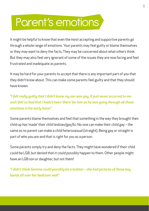#### Parent's emotions

It might be helpful to know that even the most accepting and supportive parents go through a whole range of emotions. Your parents may feel guilty or blame themselves or they may want to deny the facts. They may be concerned about what others think. But they may also feel very ignorant of some of the issues they are now facing and feel frustrated and inadequate as parents.

It may be hard for your parents to accept that there is any important part of you that they didn't know about. This can make some parents feel guilty and that they should have known.

*"I felt really guilty that I didn't know my son was gay. It just never occurred to me and I felt so bad that I hadn't been 'there' for him as he was going through all those emotions in his early teens"*

Some parents blame themselves and feel that something in the way they brought their child up has 'made' their child lesbian/gay/bi. No-one can make their child gay – the same as no parent can make a child heterosexual (straight). Being gay or straight is part of who you are and that is right for you as a person.

Some parents simply try and deny the facts. They might have wondered if their child could be LGB, but denied that it could possibly happen to them. Other people might have an LGB son or daughter, but not them!

*"I didn't think Gemma could possibly be a lesbian – she had pictures of these boy bands all over her bedroom wall"*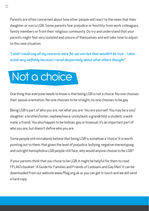Parents are often concerned about how other people will react to the news that their daughter or son is LGB. Some parents fear prejudice or hostility from work colleagues, family members or from their religious community. Do try and understand that your parents might feel very isolated and unsure of themselves and will take time to adjust to this new situation.

*"I wish I could say all my concerns were for our son but that wouldn't be true – I also acted very selfishly because I cared desperately about what others thought"*



One thing that everyone needs to know is that being LGB is not a choice. No-one chooses their sexual orientation. No-one chooses to be straight; no-one chooses to be gay.

Being LGB is part of who you are, not what you are. You are yourself. You may be a son/ daughter; a brother/sister; nephew/niece; uncle/aunt; a grandchild; a student; a work mate; a friend. You also happen to be lesbian, gay or bisexual; it's an important part of who you are, but doesn't define who you are.

Some people still mistakenly believe that being LGB is somehow a 'choice'. It is worth pointing out to them, that given the level of prejudice, bullying, negative stereotyping and outright homophobia LGB people still face, why would anyone choose to be LGB?

If your parents think that you chose to be LGB, it might be helpful for them to read FFLAG's booklet ' A Guide for Families and Friends of Lesbians and Gay Men'. It can be downloaded from our website www.fflag.org.uk or you can get in touch and we will send a hard copy.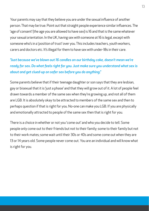Your parents may say that they believe you are under the sexual influence of another person. That may be true. Point out that straight people experience similar influences. The 'age of consent' (the age you are allowed to have sex) is 16 and that is the same whatever your sexual orientation. In the UK, having sex with someone at 16 is legal, except with someone who's in a 'position of trust' over you. This includes teachers, youth workers, carers and doctors etc. It's illegal for them to have sex with under-18s in their care.

*"Just because we've blown out 16 candles on our birthday cake, doesn't mean we're ready for sex. Do what feels right for you. Just make sure you understand what sex is about and get clued-up on safer sex before you do anything."*

Some parents believe that if their teenage daughter or son says that they are lesbian, gay or bisexual that it is 'just a phase' and that they will grow out of it. A lot of people feel drawn towards a member of the same sex when they're growing up, and not all of them are LGB. It is absolutely okay to be attracted to members of the same sex and then to perhaps question if that is right for you. No-one can make you LGB. If you are physically and emotionally attracted to people of the same sex then that is right for you.

There is a choice in whether or not you 'come out' and who you decide to tell. Some people only come out to their friends but not to their family; some to their family but not to their work mates; some wait until their 30s or 40s and some come out when they are 13 or 14 years old. Some people never come out. You are an individual and will know what is right for you.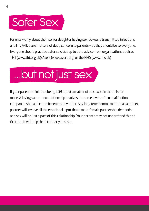### Safer Sex

Parents worry about their son or daughter having sex. Sexually transmitted infections and HIV/AIDS are matters of deep concern to parents – as they should be to everyone. Everyone should practise safer sex. Get up to date advice from organisations such as THT (www.tht.org.uk); Avert (www.avert.org) or the NHS (www.nhs.uk)

## …but not just sex

If your parents think that being LGB is just a matter of sex, explain that it is far more. A loving same –sex relationship involves the same levels of trust, affection, companionship and commitment as any other. Any long term commitment to a same-sex partner will involve all the emotional input that a male-female partnership demands – and sex will be just a part of this relationship. Your parents may not understand this at first, but it will help them to hear you say it.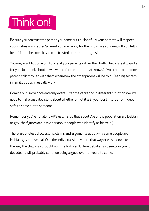### Think on!

Be sure you can trust the person you come out to. Hopefully your parents will respect your wishes on whether/when/if you are happy for them to share your news. If you tell a best friend – be sure they can be trusted not to spread gossip.

You may want to come out to one of your parents rather than both. That's fine if it works for you. Just think about how it will be for the parent that 'knows'. If you come out to one parent, talk through with them when/how the other parent will be told. Keeping secrets in families doesn't usually work.

Coming out isn't a once and only event. Over the years and in different situations you will need to make snap decisions about whether or not it is in your best interest, or indeed safe to come out to someone.

Remember you're not alone – it's estimated that about 7% of the population are lesbian or gay (the figures are less clear about people who identify as bisexual).

There are endless discussions, claims and arguments about why some people are lesbian, gay or bisexual. Was the individual simply born that way or was it down to the way the child was brought up? The Nature-Nurture debate has been going on for decades. It will probably continue being argued over for years to come.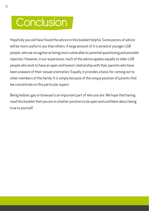#### **Conclusion**

Hopefully you will have found the advice in this booklet helpful. Some pieces of advice will be more useful to you than others. A large amount of it is aimed at younger LGB people, who we recognise as being more vulnerable to parental questioning and possible rejection. However, in our experience, much of the advice applies equally to older LGB people who wish to have an open and honest relationship with their parents who have been unaware of their sexual orientation. Equally, it provides a basis for coming out to other members of the family. It is simply because of the unique position of parents that we concentrate on this particular aspect.

Being lesbian, gay or bisexual is an important part of who you are. We hope that having read this booklet that you are in a better position to be open and confident about being true to yourself.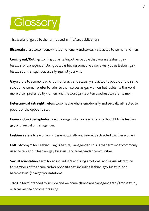### Glossary

This is a brief guide to the terms used in FFLAG's publications.

**Bisexual:** refers to someone who is emotionally and sexually attracted to women and men.

**Coming out/Outing:** Coming out is telling other people that you are lesbian, gay, bisexual or transgender. Being outed is having someone else reveal you as lesbian, gay, bisexual, or transgender, usually against your will.

**Gay:** refers to someone who is emotionally and sexually attracted to people of the same sex. Some women prefer to refer to themselves as gay women, but lesbian is the word more often preferred by women, and the word gay is often used just to refer to men.

**Heterosexual /straight:** refers to someone who is emotionally and sexually attracted to people of the opposite sex.

**Homophobia /transphobia:** prejudice against anyone who is or is thought to be lesbian, gay or bisexual or transgender.

**Lesbian:** refers to a woman who is emotionally and sexually attracted to other women.

**LGBT:** Acronym for Lesbian, Gay, Bisexual, Transgender. This is the term most commonly used to talk about lesbian, gay, bisexual, and transgender communities.

**Sexual orientation:** term for an individual's enduring emotional and sexual attraction to members of the same and/or opposite sex, including lesbian, gay, bisexual and heterosexual (straight) orientations.

**Trans:** a term intended to include and welcome all who are transgendered / transsexual, or transvestite or cross-dressing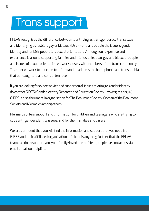#### Trans support

FFLAG recognises the difference between identifying as transgendered/ transsexual and identifying as lesbian, gay or bisexual(LGB). For trans people the issue is gender identity and for LGB people it is sexual orientation. Although our expertise and experience is around supporting families and friends of lesbian, gay and bisexual people and issues of sexual orientation we work closely with members of the trans community. Together we work to educate, to inform and to address the homophobia and transphobia that our daughters and sons often face.

If you are looking for expert advice and support on all issues relating to gender identity do contact GIRES (Gender Identity Research and Education Society - www.gires.org.uk). GIRES is also the umbrella organisation for The Beaumont Society, Women of the Beaumont Society and Mermaids among others.

Mermaids offers support and information for children and teenagers who are trying to cope with gender identity issues, and for their families and carers

We are confident that you will find the information and support that you need from GIRES and their affiliated organisations. If there is anything further that the FFLAG team can do to support you, your family/loved one or friend, do please contact us via email or call our helpline.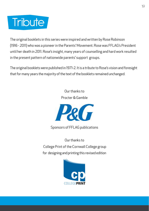#### **Tribute**

The original booklets in this series were inspired and written by Rose Robinson (1916 - 2011) who was a pioneer in the Parents' Movement. Rose was FFLAG's President until her death in 2011. Rose's insight, many years of counselling and hard work resulted in the present pattern of nationwide parents' support groups.

The original booklets were published in 1971-2. It is a tribute to Rose's vision and foresight that for many years the majority of the text of the booklets remained unchanged.

> Our thanks to Procter & Gamble



Sponsors of FFLAG publications

Our thanks to College Print of the Cornwall College group for designing and printing this revised edition